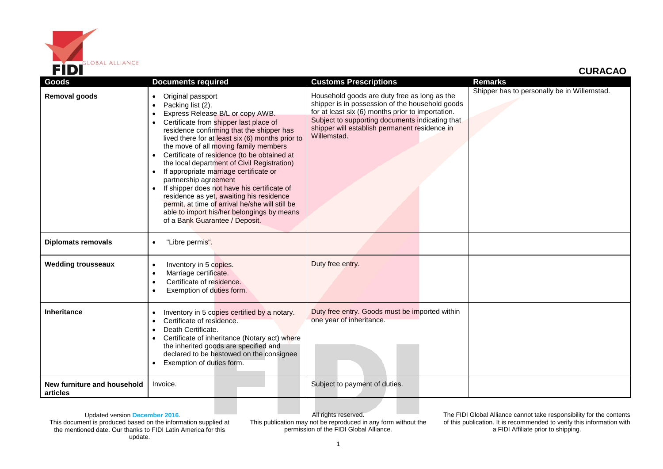

## **CURACAO**

| Goods                                   | <b>Documents required</b>                                                                                                                                                                                                                                                                                                                                                                                                                                                                                                                                                                                                                                                                                         | <b>Customs Prescriptions</b>                                                                                                                                                                                                                                            | <b>Remarks</b>                              |
|-----------------------------------------|-------------------------------------------------------------------------------------------------------------------------------------------------------------------------------------------------------------------------------------------------------------------------------------------------------------------------------------------------------------------------------------------------------------------------------------------------------------------------------------------------------------------------------------------------------------------------------------------------------------------------------------------------------------------------------------------------------------------|-------------------------------------------------------------------------------------------------------------------------------------------------------------------------------------------------------------------------------------------------------------------------|---------------------------------------------|
| Removal goods                           | Original passport<br>$\bullet$<br>Packing list (2).<br>$\bullet$<br>Express Release B/L or copy AWB.<br>$\bullet$<br>Certificate from shipper last place of<br>$\bullet$<br>residence confirming that the shipper has<br>lived there for at least six (6) months prior to<br>the move of all moving family members<br>Certificate of residence (to be obtained at<br>the local department of Civil Registration)<br>If appropriate marriage certificate or<br>partnership agreement<br>If shipper does not have his certificate of<br>residence as yet, awaiting his residence<br>permit, at time of arrival he/she will still be<br>able to import his/her belongings by means<br>of a Bank Guarantee / Deposit. | Household goods are duty free as long as the<br>shipper is in possession of the household goods<br>for at least six (6) months prior to importation.<br>Subject to supporting documents indicating that<br>shipper will establish permanent residence in<br>Willemstad. | Shipper has to personally be in Willemstad. |
| <b>Diplomats removals</b>               | "Libre permis".<br>$\bullet$                                                                                                                                                                                                                                                                                                                                                                                                                                                                                                                                                                                                                                                                                      |                                                                                                                                                                                                                                                                         |                                             |
| <b>Wedding trousseaux</b>               | Inventory in 5 copies.<br>$\bullet$<br>Marriage certificate.<br>$\bullet$<br>Certificate of residence.<br>$\bullet$<br>Exemption of duties form.                                                                                                                                                                                                                                                                                                                                                                                                                                                                                                                                                                  | Duty free entry.                                                                                                                                                                                                                                                        |                                             |
| <b>Inheritance</b>                      | Inventory in 5 copies certified by a notary.<br>$\bullet$<br>Certificate of residence.<br>$\bullet$<br>Death Certificate.<br>$\bullet$<br>Certificate of inheritance (Notary act) where<br>the inherited goods are specified and<br>declared to be bestowed on the consignee<br>Exemption of duties form.                                                                                                                                                                                                                                                                                                                                                                                                         | Duty free entry. Goods must be imported within<br>one year of inheritance.                                                                                                                                                                                              |                                             |
| New furniture and household<br>articles | Invoice.                                                                                                                                                                                                                                                                                                                                                                                                                                                                                                                                                                                                                                                                                                          | Subject to payment of duties.                                                                                                                                                                                                                                           |                                             |

Updated version **December 2016**. This document is produced based on the information supplied at the mentioned date. Our thanks to FIDI Latin America for this update.

All rights reserved. This publication may not be reproduced in any form without the permission of the FIDI Global Alliance.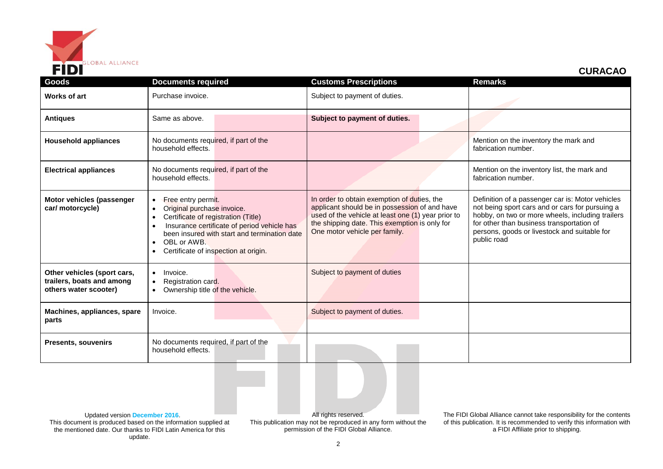

 **CURACAO**

| Goods                                                                             | <b>Documents required</b>                                                                                                                                                                                                                                                                                      | <b>Customs Prescriptions</b>                                                                                                                                                                                                         | <b>Remarks</b>                                                                                                                                                                                                                                                      |
|-----------------------------------------------------------------------------------|----------------------------------------------------------------------------------------------------------------------------------------------------------------------------------------------------------------------------------------------------------------------------------------------------------------|--------------------------------------------------------------------------------------------------------------------------------------------------------------------------------------------------------------------------------------|---------------------------------------------------------------------------------------------------------------------------------------------------------------------------------------------------------------------------------------------------------------------|
| Works of art                                                                      | Purchase invoice.                                                                                                                                                                                                                                                                                              | Subject to payment of duties.                                                                                                                                                                                                        |                                                                                                                                                                                                                                                                     |
| <b>Antiques</b>                                                                   | Same as above.                                                                                                                                                                                                                                                                                                 | Subject to payment of duties.                                                                                                                                                                                                        |                                                                                                                                                                                                                                                                     |
| <b>Household appliances</b>                                                       | No documents required, if part of the<br>household effects.                                                                                                                                                                                                                                                    |                                                                                                                                                                                                                                      | Mention on the inventory the mark and<br>fabrication number.                                                                                                                                                                                                        |
| <b>Electrical appliances</b>                                                      | No documents required, if part of the<br>household effects.                                                                                                                                                                                                                                                    |                                                                                                                                                                                                                                      | Mention on the inventory list, the mark and<br>fabrication number.                                                                                                                                                                                                  |
| Motor vehicles (passenger<br>car/ motorcycle)                                     | Free entry permit.<br>$\bullet$<br>Original purchase invoice.<br>$\bullet$<br>Certificate of registration (Title)<br>$\bullet$<br>Insurance certificate of period vehicle has<br>$\bullet$<br>been insured with start and termination date<br>OBL or AWB.<br>$\bullet$<br>Certificate of inspection at origin. | In order to obtain exemption of duties, the<br>applicant should be in possession of and have<br>used of the vehicle at least one (1) year prior to<br>the shipping date. This exemption is only for<br>One motor vehicle per family. | Definition of a passenger car is: Motor vehicles<br>not being sport cars and or cars for pursuing a<br>hobby, on two or more wheels, including trailers<br>for other than business transportation of<br>persons, goods or livestock and suitable for<br>public road |
| Other vehicles (sport cars,<br>trailers, boats and among<br>others water scooter) | Invoice.<br>$\bullet$<br>Registration card.<br>$\bullet$<br>Ownership title of the vehicle.                                                                                                                                                                                                                    | Subject to payment of duties                                                                                                                                                                                                         |                                                                                                                                                                                                                                                                     |
| Machines, appliances, spare<br>parts                                              | Invoice.                                                                                                                                                                                                                                                                                                       | Subject to payment of duties.                                                                                                                                                                                                        |                                                                                                                                                                                                                                                                     |
| <b>Presents, souvenirs</b>                                                        | No documents required, if part of the<br>household effects.                                                                                                                                                                                                                                                    |                                                                                                                                                                                                                                      |                                                                                                                                                                                                                                                                     |

Updated version **December 2016**. This document is produced based on the information supplied at the mentioned date. Our thanks to FIDI Latin America for this update.

All rights reserved. This publication may not be reproduced in any form without the permission of the FIDI Global Alliance.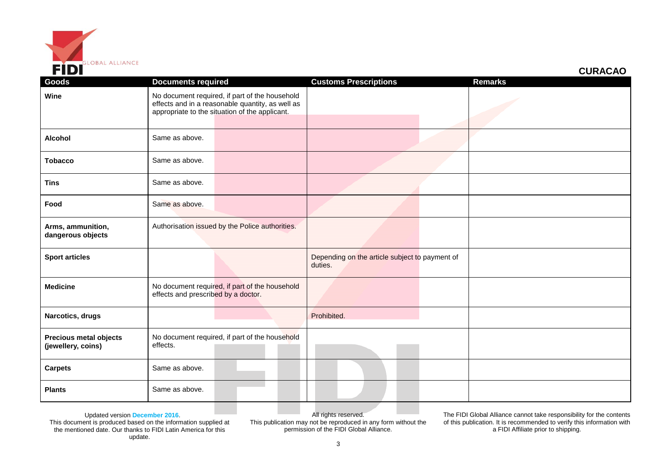

| <b>CURACAO</b> |  |  |
|----------------|--|--|
|                |  |  |

| Goods                                               | <b>Documents required</b>                                                                                                                            |  | <b>Customs Prescriptions</b>                              | <b>Remarks</b> |
|-----------------------------------------------------|------------------------------------------------------------------------------------------------------------------------------------------------------|--|-----------------------------------------------------------|----------------|
| Wine                                                | No document required, if part of the household<br>effects and in a reasonable quantity, as well as<br>appropriate to the situation of the applicant. |  |                                                           |                |
| <b>Alcohol</b>                                      | Same as above.                                                                                                                                       |  |                                                           |                |
| <b>Tobacco</b>                                      | Same as above.                                                                                                                                       |  |                                                           |                |
| <b>Tins</b>                                         | Same as above.                                                                                                                                       |  |                                                           |                |
| Food                                                | Same as above.                                                                                                                                       |  |                                                           |                |
| Arms, ammunition,<br>dangerous objects              | Authorisation issued by the Police authorities.                                                                                                      |  |                                                           |                |
| <b>Sport articles</b>                               |                                                                                                                                                      |  | Depending on the article subject to payment of<br>duties. |                |
| <b>Medicine</b>                                     | No document required, if part of the household<br>effects and prescribed by a doctor.                                                                |  |                                                           |                |
| Narcotics, drugs                                    |                                                                                                                                                      |  | Prohibited.                                               |                |
| <b>Precious metal objects</b><br>(jewellery, coins) | No document required, if part of the household<br>effects.                                                                                           |  |                                                           |                |
| <b>Carpets</b>                                      | Same as above.                                                                                                                                       |  |                                                           |                |
| <b>Plants</b>                                       | Same as above.                                                                                                                                       |  |                                                           |                |

Updated version **December 2016**.

This document is produced based on the information supplied at the mentioned date. Our thanks to FIDI Latin America for this update.

All rights reserved. This publication may not be reproduced in any form without the permission of the FIDI Global Alliance.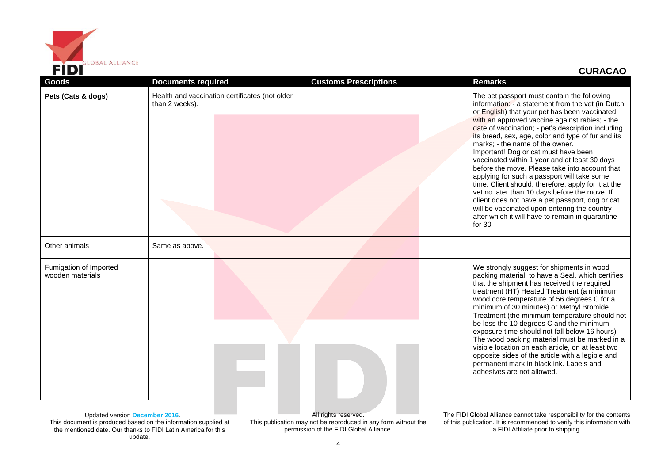

## **CURACAO**

| Pets (Cats & dogs)<br>Health and vaccination certificates (not older<br>The pet passport must contain the following<br>information: - a statement from the vet (in Dutch<br>than 2 weeks).<br>or English) that your pet has been vaccinated<br>with an approved vaccine against rabies; - the<br>date of vaccination; - pet's description including<br>its breed, sex, age, color and type of fur and its<br>marks; - the name of the owner.<br>Important! Dog or cat must have been<br>vaccinated within 1 year and at least 30 days<br>before the move. Please take into account that<br>applying for such a passport will take some<br>time. Client should, therefore, apply for it at the<br>vet no later than 10 days before the move. If<br>client does not have a pet passport, dog or cat<br>will be vaccinated upon entering the country<br>after which it will have to remain in quarantine<br>for $30$<br>Other animals<br>Same as above.<br>We strongly suggest for shipments in wood<br>Fumigation of Imported<br>packing material, to have a Seal, which certifies<br>wooden materials<br>that the shipment has received the required<br>treatment (HT) Heated Treatment (a minimum<br>wood core temperature of 56 degrees C for a<br>minimum of 30 minutes) or Methyl Bromide<br>Treatment (the minimum temperature should not<br>be less the 10 degrees C and the minimum<br>exposure time should not fall below 16 hours)<br>The wood packing material must be marked in a<br>visible location on each article, on at least two<br>opposite sides of the article with a legible and<br>permanent mark in black ink. Labels and<br>adhesives are not allowed. | Goods | <b>Documents required</b> | <b>Customs Prescriptions</b> | <b>Remarks</b> |
|-------------------------------------------------------------------------------------------------------------------------------------------------------------------------------------------------------------------------------------------------------------------------------------------------------------------------------------------------------------------------------------------------------------------------------------------------------------------------------------------------------------------------------------------------------------------------------------------------------------------------------------------------------------------------------------------------------------------------------------------------------------------------------------------------------------------------------------------------------------------------------------------------------------------------------------------------------------------------------------------------------------------------------------------------------------------------------------------------------------------------------------------------------------------------------------------------------------------------------------------------------------------------------------------------------------------------------------------------------------------------------------------------------------------------------------------------------------------------------------------------------------------------------------------------------------------------------------------------------------------------------------------------------------------------------|-------|---------------------------|------------------------------|----------------|
|                                                                                                                                                                                                                                                                                                                                                                                                                                                                                                                                                                                                                                                                                                                                                                                                                                                                                                                                                                                                                                                                                                                                                                                                                                                                                                                                                                                                                                                                                                                                                                                                                                                                               |       |                           |                              |                |
|                                                                                                                                                                                                                                                                                                                                                                                                                                                                                                                                                                                                                                                                                                                                                                                                                                                                                                                                                                                                                                                                                                                                                                                                                                                                                                                                                                                                                                                                                                                                                                                                                                                                               |       |                           |                              |                |
|                                                                                                                                                                                                                                                                                                                                                                                                                                                                                                                                                                                                                                                                                                                                                                                                                                                                                                                                                                                                                                                                                                                                                                                                                                                                                                                                                                                                                                                                                                                                                                                                                                                                               |       |                           |                              |                |

Updated version **December 2016**. This document is produced based on the information supplied at the mentioned date. Our thanks to FIDI Latin America for this update.

All rights reserved. This publication may not be reproduced in any form without the permission of the FIDI Global Alliance.